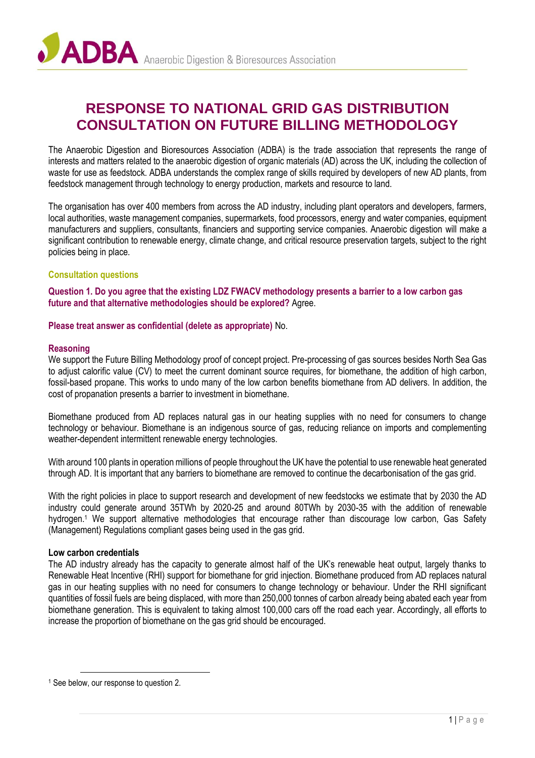

# **RESPONSE TO NATIONAL GRID GAS DISTRIBUTION CONSULTATION ON FUTURE BILLING METHODOLOGY**

The Anaerobic Digestion and Bioresources Association (ADBA) is the trade association that represents the range of interests and matters related to the anaerobic digestion of organic materials (AD) across the UK, including the collection of waste for use as feedstock. ADBA understands the complex range of skills required by developers of new AD plants, from feedstock management through technology to energy production, markets and resource to land.

The organisation has over 400 members from across the AD industry, including plant operators and developers, farmers, local authorities, waste management companies, supermarkets, food processors, energy and water companies, equipment manufacturers and suppliers, consultants, financiers and supporting service companies. Anaerobic digestion will make a significant contribution to renewable energy, climate change, and critical resource preservation targets, subject to the right policies being in place.

## **Consultation questions**

**Question 1. Do you agree that the existing LDZ FWACV methodology presents a barrier to a low carbon gas future and that alternative methodologies should be explored?** Agree.

## **Please treat answer as confidential (delete as appropriate)** No.

## **Reasoning**

We support the Future Billing Methodology proof of concept project. Pre-processing of gas sources besides North Sea Gas to adjust calorific value (CV) to meet the current dominant source requires, for biomethane, the addition of high carbon, fossil-based propane. This works to undo many of the low carbon benefits biomethane from AD delivers. In addition, the cost of propanation presents a barrier to investment in biomethane.

Biomethane produced from AD replaces natural gas in our heating supplies with no need for consumers to change technology or behaviour. Biomethane is an indigenous source of gas, reducing reliance on imports and complementing weather-dependent intermittent renewable energy technologies.

With around 100 plants in operation millions of people throughout the UK have the potential to use renewable heat generated through AD. It is important that any barriers to biomethane are removed to continue the decarbonisation of the gas grid.

With the right policies in place to support research and development of new feedstocks we estimate that by 2030 the AD industry could generate around 35TWh by 2020-25 and around 80TWh by 2030-35 with the addition of renewable hydrogen. <sup>1</sup> We support alternative methodologies that encourage rather than discourage low carbon, Gas Safety (Management) Regulations compliant gases being used in the gas grid.

## **Low carbon credentials**

The AD industry already has the capacity to generate almost half of the UK's renewable heat output, largely thanks to Renewable Heat Incentive (RHI) support for biomethane for grid injection. Biomethane produced from AD replaces natural gas in our heating supplies with no need for consumers to change technology or behaviour. Under the RHI significant quantities of fossil fuels are being displaced, with more than 250,000 tonnes of carbon already being abated each year from biomethane generation. This is equivalent to taking almost 100,000 cars off the road each year. Accordingly, all efforts to increase the proportion of biomethane on the gas grid should be encouraged.

 $\overline{\phantom{a}}$ 

<sup>&</sup>lt;sup>1</sup> See below, our response to question 2.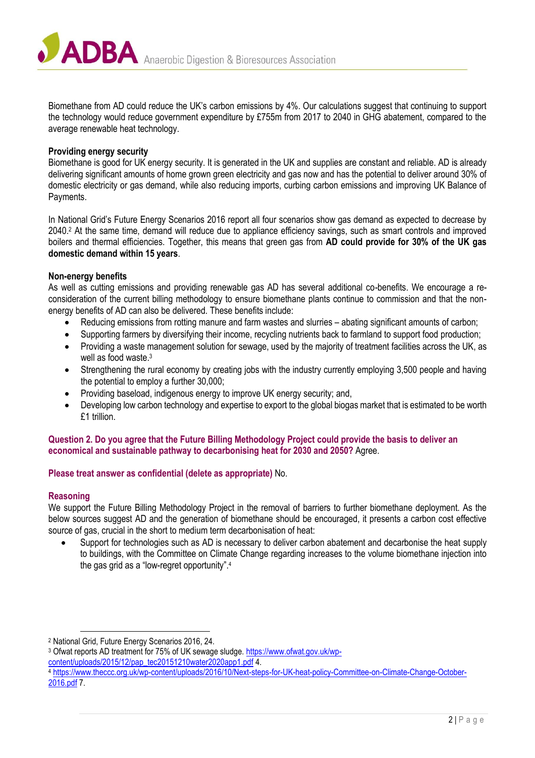

Biomethane from AD could reduce the UK's carbon emissions by 4%. Our calculations suggest that continuing to support the technology would reduce government expenditure by £755m from 2017 to 2040 in GHG abatement, compared to the average renewable heat technology.

# **Providing energy security**

Biomethane is good for UK energy security. It is generated in the UK and supplies are constant and reliable. AD is already delivering significant amounts of home grown green electricity and gas now and has the potential to deliver around 30% of domestic electricity or gas demand, while also reducing imports, curbing carbon emissions and improving UK Balance of Payments.

In National Grid's Future Energy Scenarios 2016 report all four scenarios show gas demand as expected to decrease by 2040. <sup>2</sup> At the same time, demand will reduce due to appliance efficiency savings, such as smart controls and improved boilers and thermal efficiencies. Together, this means that green gas from **AD could provide for 30% of the UK gas domestic demand within 15 years**.

## **Non-energy benefits**

As well as cutting emissions and providing renewable gas AD has several additional co-benefits. We encourage a reconsideration of the current billing methodology to ensure biomethane plants continue to commission and that the nonenergy benefits of AD can also be delivered. These benefits include:

- Reducing emissions from rotting manure and farm wastes and slurries abating significant amounts of carbon;
- Supporting farmers by diversifying their income, recycling nutrients back to farmland to support food production;
- Providing a waste management solution for sewage, used by the majority of treatment facilities across the UK, as well as food waste. 3
- Strengthening the rural economy by creating jobs with the industry currently employing 3,500 people and having the potential to employ a further 30,000;
- Providing baseload, indigenous energy to improve UK energy security; and,
- Developing low carbon technology and expertise to export to the global biogas market that is estimated to be worth £1 trillion.

# **Question 2. Do you agree that the Future Billing Methodology Project could provide the basis to deliver an economical and sustainable pathway to decarbonising heat for 2030 and 2050?** Agree.

# **Please treat answer as confidential (delete as appropriate)** No.

# **Reasoning**

We support the Future Billing Methodology Project in the removal of barriers to further biomethane deployment. As the below sources suggest AD and the generation of biomethane should be encouraged, it presents a carbon cost effective source of gas, crucial in the short to medium term decarbonisation of heat:

• Support for technologies such as AD is necessary to deliver carbon abatement and decarbonise the heat supply to buildings, with the Committee on Climate Change regarding increases to the volume biomethane injection into the gas grid as a "low-regret opportunity".<sup>4</sup>

 $\overline{a}$ <sup>2</sup> National Grid, Future Energy Scenarios 2016, 24.

<sup>3</sup> Ofwat reports AD treatment for 75% of UK sewage sludge. [https://www.ofwat.gov.uk/wp-](https://www.ofwat.gov.uk/wp-content/uploads/2015/12/pap_tec20151210water2020app1.pdf)

[content/uploads/2015/12/pap\\_tec20151210water2020app1.pdf](https://www.ofwat.gov.uk/wp-content/uploads/2015/12/pap_tec20151210water2020app1.pdf) 4.

<sup>4</sup> [https://www.theccc.org.uk/wp-content/uploads/2016/10/Next-steps-for-UK-heat-policy-Committee-on-Climate-Change-October-](https://www.theccc.org.uk/wp-content/uploads/2016/10/Next-steps-for-UK-heat-policy-Committee-on-Climate-Change-October-2016.pdf)[2016.pdf](https://www.theccc.org.uk/wp-content/uploads/2016/10/Next-steps-for-UK-heat-policy-Committee-on-Climate-Change-October-2016.pdf) 7.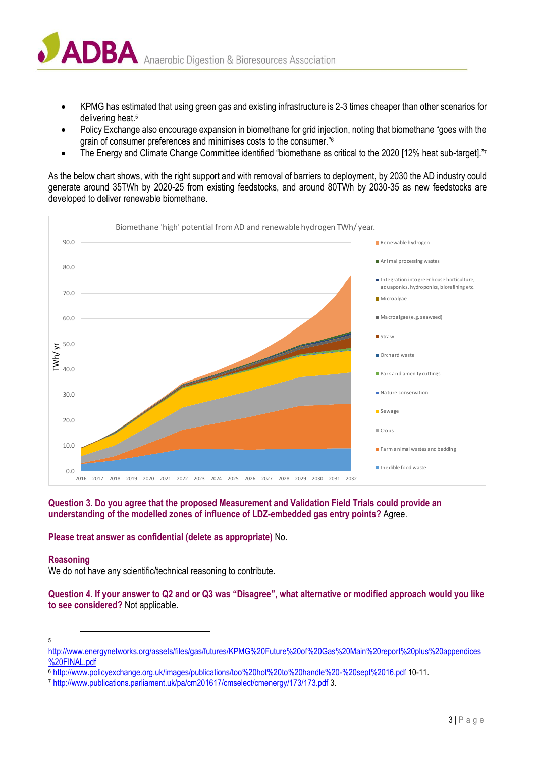

- KPMG has estimated that using green gas and existing infrastructure is 2-3 times cheaper than other scenarios for delivering heat.<sup>5</sup>
- Policy Exchange also encourage expansion in biomethane for grid injection, noting that biomethane "goes with the grain of consumer preferences and minimises costs to the consumer."<sup>6</sup>
- The Energy and Climate Change Committee identified "biomethane as critical to the 2020 [12% heat sub-target]."7

As the below chart shows, with the right support and with removal of barriers to deployment, by 2030 the AD industry could generate around 35TWh by 2020-25 from existing feedstocks, and around 80TWh by 2030-35 as new feedstocks are developed to deliver renewable biomethane.



**Question 3. Do you agree that the proposed Measurement and Validation Field Trials could provide an understanding of the modelled zones of influence of LDZ-embedded gas entry points?** Agree.

**Please treat answer as confidential (delete as appropriate)** No.

#### **Reasoning**

 $\overline{a}$ 

We do not have any scientific/technical reasoning to contribute.

**Question 4. If your answer to Q2 and or Q3 was "Disagree", what alternative or modified approach would you like to see considered?** Not applicable.

5

[http://www.energynetworks.org/assets/files/gas/futures/KPMG%20Future%20of%20Gas%20Main%20report%20plus%20appendices](http://www.energynetworks.org/assets/files/gas/futures/KPMG%20Future%20of%20Gas%20Main%20report%20plus%20appendices%20FINAL.pdf) [%20FINAL.pdf](http://www.energynetworks.org/assets/files/gas/futures/KPMG%20Future%20of%20Gas%20Main%20report%20plus%20appendices%20FINAL.pdf)

<sup>6</sup> <http://www.policyexchange.org.uk/images/publications/too%20hot%20to%20handle%20-%20sept%2016.pdf> 10-11.

<sup>7</sup> <http://www.publications.parliament.uk/pa/cm201617/cmselect/cmenergy/173/173.pdf> 3.